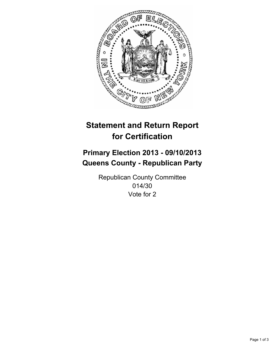

# **Statement and Return Report for Certification**

## **Primary Election 2013 - 09/10/2013 Queens County - Republican Party**

Republican County Committee 014/30 Vote for 2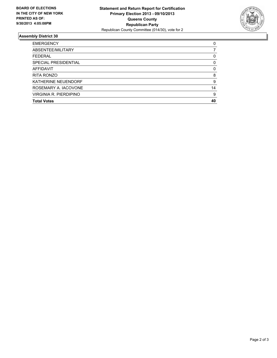

### **Assembly District 30**

| <b>EMERGENCY</b>            | 0        |
|-----------------------------|----------|
| ABSENTEE/MILITARY           |          |
| <b>FEDERAL</b>              | 0        |
| <b>SPECIAL PRESIDENTIAL</b> | 0        |
| <b>AFFIDAVIT</b>            | $\Omega$ |
| <b>RITA RONZO</b>           | 8        |
| KATHERINE NEUENDORF         | 9        |
| ROSEMARY A. IACOVONE        | 14       |
| VIRGINIA R. PIERDIPINO      | 9        |
| <b>Total Votes</b>          | 40       |